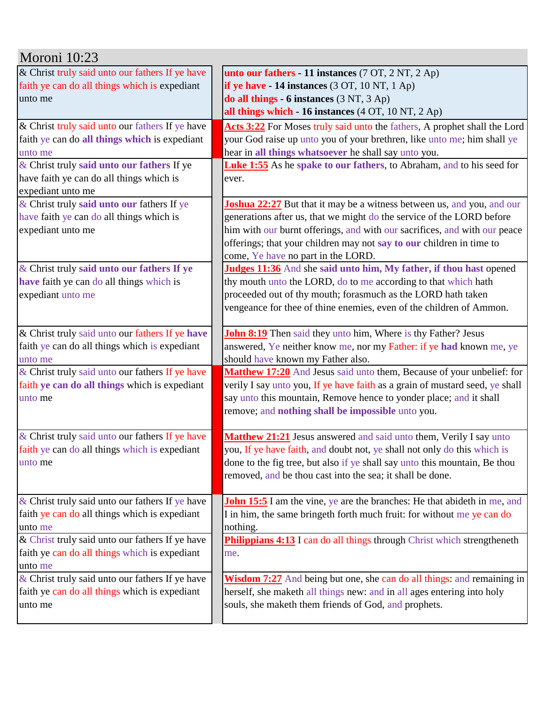| Moroni 10:23                                    |                                                                                 |
|-------------------------------------------------|---------------------------------------------------------------------------------|
| & Christ truly said unto our fathers If ye have | unto our fathers - 11 instances (7 OT, 2 NT, 2 Ap)                              |
| faith ye can do all things which is expediant   | if ye have $-14$ instances $(3 OT, 10 NT, 1 Ap)$                                |
| unto me                                         | do all things - 6 instances (3 NT, 3 Ap)                                        |
|                                                 | all things which - 16 instances (4 OT, 10 NT, 2 Ap)                             |
| & Christ truly said unto our fathers If ye have | Acts 3:22 For Moses truly said unto the fathers, A prophet shall the Lord       |
| faith ye can do all things which is expediant   | your God raise up unto you of your brethren, like unto me; him shall ye         |
| unto me                                         | hear in all things whatsoever he shall say unto you.                            |
| & Christ truly said unto our fathers If ye      | <b>Luke 1:55</b> As he spake to our fathers, to Abraham, and to his seed for    |
| have faith ye can do all things which is        | ever.                                                                           |
| expediant unto me                               |                                                                                 |
| & Christ truly said unto our fathers If ye      | <b>Joshua 22:27</b> But that it may be a witness between us, and you, and our   |
| have faith ye can do all things which is        | generations after us, that we might do the service of the LORD before           |
| expediant unto me                               | him with our burnt offerings, and with our sacrifices, and with our peace       |
|                                                 | offerings; that your children may not say to our children in time to            |
|                                                 | come, Ye have no part in the LORD.                                              |
| & Christ truly said unto our fathers If ye      | Judges 11:36 And she said unto him, My father, if thou hast opened              |
| have faith ye can do all things which is        | thy mouth unto the LORD, do to me according to that which hath                  |
| expediant unto me                               | proceeded out of thy mouth; forasmuch as the LORD hath taken                    |
|                                                 | vengeance for thee of thine enemies, even of the children of Ammon.             |
| & Christ truly said unto our fathers If ye have | <b>John 8:19</b> Then said they unto him, Where is thy Father? Jesus            |
| faith ye can do all things which is expediant   | answered, Ye neither know me, nor my Father: if ye had known me, ye             |
| unto me                                         | should have known my Father also.                                               |
| & Christ truly said unto our fathers If ye have | Matthew 17:20 And Jesus said unto them, Because of your unbelief: for           |
| faith ye can do all things which is expediant   | verily I say unto you, If ye have faith as a grain of mustard seed, ye shall    |
| unto me                                         | say unto this mountain, Remove hence to yonder place; and it shall              |
|                                                 | remove; and nothing shall be impossible unto you.                               |
| & Christ truly said unto our fathers If ye have | Matthew 21:21 Jesus answered and said unto them, Verily I say unto              |
| faith ye can do all things which is expediant   | you, If ye have faith, and doubt not, ye shall not only do this which is        |
| unto me                                         | done to the fig tree, but also if ye shall say unto this mountain, Be thou      |
|                                                 | removed, and be thou cast into the sea; it shall be done.                       |
| & Christ truly said unto our fathers If ye have | <b>John 15:5</b> I am the vine, ye are the branches: He that abideth in me, and |
| faith ye can do all things which is expediant   | I in him, the same bringeth forth much fruit: for without me ye can do          |
| unto me                                         | nothing.                                                                        |
| & Christ truly said unto our fathers If ye have | <b>Philippians 4:13</b> I can do all things through Christ which strengtheneth  |
| faith ye can do all things which is expediant   | me.                                                                             |
| unto me                                         |                                                                                 |
| & Christ truly said unto our fathers If ye have | <b>Wisdom 7:27</b> And being but one, she can do all things: and remaining in   |
| faith ye can do all things which is expediant   | herself, she maketh all things new: and in all ages entering into holy          |
| unto me                                         | souls, she maketh them friends of God, and prophets.                            |
|                                                 |                                                                                 |